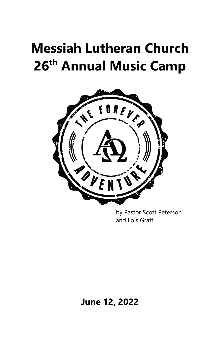# **Messiah Lutheran Church 26th Annual Music Camp**



by Pastor Scott Peterson and Lois Graff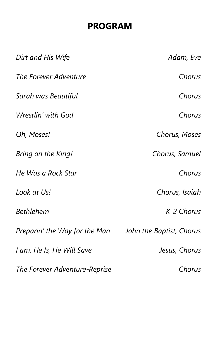## **PROGRAM**

| Dirt and His Wife             | Adam, Eve                |
|-------------------------------|--------------------------|
| The Forever Adventure         | Chorus                   |
| Sarah was Beautiful           | Chorus                   |
| Wrestlin' with God            | Chorus                   |
| Oh, Moses!                    | Chorus, Moses            |
| Bring on the King!            | Chorus, Samuel           |
| He Was a Rock Star            | Chorus                   |
| Look at Us!                   | Chorus, Isaiah           |
| <b>Bethlehem</b>              | K-2 Chorus               |
| Preparin' the Way for the Man | John the Baptist, Chorus |
| I am, He Is, He Will Save     | Jesus, Chorus            |
| The Forever Adventure-Reprise | Chorus                   |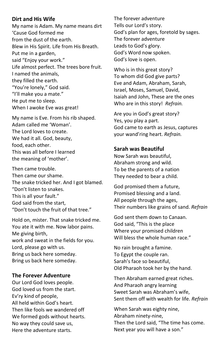#### **Dirt and His Wife**

My name is Adam. My name means dirt 'Cause God formed me from the dust of the earth. Blew in His Spirit. Life from His Breath. Put me in a garden, said "Enjoy your work." Life almost perfect. The trees bore fruit. I named the animals, they filled the earth. "You're lonely," God said. "I'll make you a mate." He put me to sleep. When I awoke Eve was great!

My name is Eve. From his rib shaped. Adam called me 'Woman'. The Lord loves to create. We had it all. God, beauty, food, each other. This was all before I learned the meaning of 'mother'.

Then came trouble. Then came our shame. The snake tricked her. And I got blamed. "Don't listen to snakes. This is all your fault." God said from the start, "Don't touch the fruit of that tree."

Hold on, mister. That snake tricked me. You ate it with me. Now labor pains. Me giving birth, work and sweat in the fields for you. Lord, please go with us. Bring us back here someday. Bring us back here someday.

#### **The Forever Adventure**

Our Lord God loves people. God loved us from the start. Ev'ry kind of people, All held within God's heart. Then like fools we wandered off We formed gods without hearts. No way they could save us, Here the adventure starts.

The forever adventure Tells our Lord's story. God's plan for ages, foretold by sages. The forever adventure Leads to God's glory. God's Word now spoken. God's love is open.

Who is in this great story? To whom did God give parts? Eve and Adam, Abraham, Sarah, Israel, Moses, Samuel, David, Isaiah and John, These are the ones Who are in this story! *Refrain.*

Are you in God's great story? Yes, you play a part. God came to earth as Jesus, captures your wand'ring heart. *Refrain.*

#### **Sarah was Beautiful**

Now Sarah was beautiful, Abraham strong and wild. To be the parents of a nation They needed to bear a child.

God promised them a future, Promised blessing and a land. All people through the ages, Their numbers like grains of sand. *Refrain*

God sent them down to Canaan. God said, "This is the place Where your promised children Will bless the whole human race."

No rain brought a famine. To Egypt the couple ran. Sarah's face so beautiful, Old Pharaoh took her by the hand.

Then Abraham earned great riches. And Pharaoh angry learning Sweet Sarah was Abraham's wife, Sent them off with wealth for life. *Refrain*

When Sarah was eighty nine, Abraham ninety-nine, Then the Lord said, "The time has come. Next year you will have a son."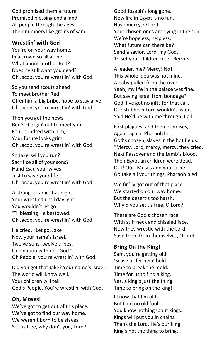God promised them a future, Promised blessing and a land. All people through the ages, Their numbers like grains of sand.

#### **Wrestlin' with God**

You're on your way home, In a crowd so all alone. What about brother Red? Does he still want you dead? Oh Jacob, you're wrestlin' with God.

So you send scouts ahead To meet brother Red. Offer him a big bribe, hope to stay alive, Oh Jacob, you're wrestlin' with God.

Then you get the news, Red's chargin' out to meet you. Four hundred with him, Your future looks grim, Oh Jacob, you're wrestlin' with God.

So Jake, will you run? Sacrifice all of your sons? Hand Esau your wives, Just to save your life. Oh Jacob, you're wrestlin' with God.

A stranger came that night. Your wrestled until daylight. You wouldn't let go 'Til blessing He bestowed. Oh Jacob, you're wrestlin' with God.

He cried, "Let go, Jake! Now your name's Israel. Twelve sons, twelve tribes, One nation with one God." Oh People, you're wrestlin' with God.

Did you get that Jake? Your name's Israel. The world will know well. Your children will tell. God's People, You're wrestlin' with God.

#### **Oh, Moses!**

We've got to get out of this place. We've got to find our way home. We weren't born to be slaves. Set us free, why don't you, Lord?

Good Joseph's long gone. Now life in Egypt is no fun. Have mercy, O Lord. Your chosen ones are dying in the sun. We're hopeless, helpless. What future can there be? Send a savior, Lord, my God, To set your children free. *Refrain*

A leader, me? Mercy! No! This whole idea was not mine, A baby pulled from the river. Yeah, my life in the palace was fine. But saving Israel from bondage? God, I've got no gifts for that call. Our stubborn Lord wouldn't listen, Said He'd be with me through it all.

First plagues, and then promises, Again, again, Pharaoh lied. God's chosen, slaves in the hot fields. "Mercy, Lord, mercy, mercy, they cried. Next Passover and the Lamb's blood, Then Egyptian children were dead. Out! Out! Moses and your tribe. Go take all your things, Pharaoh pled.

We fin'lly got out of that place. We started on our way home. But the desert's too harsh, Why'd you set us free, O Lord?

These are God's chosen race. With stiff neck and chiseled face. Now they wrestle with the Lord, Save them from themselves, O Lord.

#### **Bring On the King!**

Sam, you're getting old. 'Scuse us fer bein' bold. Time to break the mold. Time for us to find a king. Yes, a king's just the thing. Time to bring on the king!

I know that I'm old. But I am no old fool. You know nothing 'bout kings. Kings will put you in chains. Thank the Lord, He's our King. King's not the thing to bring.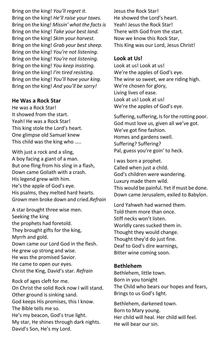Bring on the king! *You'll regret it.* Bring on the king! *He'll raise your taxes.* Bring on the king! *Missin' what the facts is* Bring on the king! *Take your best land.* Bring on the king! *Skim your harvest.* Bring on the king! *Grab your best sheep.* Bring on the king! *You're not listening.* Bring on the king! *You're not listening.* Bring on the king! *You keep insisting.* Bring on the king! *I'm tired resisting.* Bring on the king! *You'll have your king.* Bring on the king! *And you'll be sorry!*

#### **He Was a Rock Star**

He was a Rock Star! It showed from the start. Yeah! He was a Rock Star! This king stole the Lord's heart. One glimpse old Samuel knew This child was the king who …..

With just a rock and a sling, A boy facing a giant of a man. But one fling from his sling in a flash, Down came Goliath with a crash. His legend grew with him. He's the apple of God's eye. His psalms, they melted hard hearts. Grown men broke down and cried.*Refrain*

A star brought three wise men. Seeking the king the prophets had foretold. They brought gifts for the king, Myrrh and gold. Down came our Lord God in the flesh. He grew up strong and wise. He was the promised Savior. He came to open our eyes. Christ the King, David's star. *Refrain*

Rock of ages cleft for me. On Christ the solid Rock now I will stand. Other ground is sinking sand. God keeps His promises, this I know. The Bible tells me so. He's my beacon, God's true light. My star, He shines through dark nights. David's Son, He's my Lord.

Jesus the Rock Star! He showed the Lord's heart. Yeah! Jesus the Rock Star! There with God from the start. Now we know this Rock Star, This King was our Lord, Jesus Christ!

#### **Look at Us!**

Look at us! Look at us! We're the apples of God's eye. The wine so sweet, we are riding high. We're chosen for glory, Living lives of ease. Look at us! Look at us! We're the apples of God's eye.

Suffering, suffering, Is for the rotting poor. God must love us, given all we've got. We've got fine fashion. Homes and gardens swell. Suffering? Suffering? Pal, guess you're goin' to heck.

I was born a prophet. Called when just a child. God's children were wandering. Luxury made them wild. This would be painful. Yet if must be done. Down came Jerusalem, exiled to Babylon.

Lord Yahweh had warned them. Told them more than once. Stiff necks won't listen. Worldly cares sucked them in. Thought they would change. Thought they'd do just fine. Deaf to God's dire warnings, Bitter wine coming soon.

#### **Bethlehem**

Bethlehem, little town. Born in you tonight The Child who bears our hopes and fears, Brings to us God's light.

Bethlehem, darkened town. Born to Mary young. Her child will heal. Her child will feel. He will bear our sin.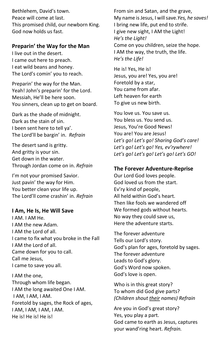Bethlehem, David's town. Peace will come at last. This promised child, our newborn King. God now holds us fast.

#### **Preparin' the Way for the Man**

I live out in the desert. I came out here to preach. I eat wild beans and honey. The Lord's comin' you to reach.

Preparin' the way for the Man. Yeah! John's preparin' for the Lord. Messiah, He'll be here soon. You sinners, clean up to get on board.

Dark as the shade of midnight. Dark as the stain of sin. I been sent here to tell ya'. The Lord'll be bargin' in. *Refrain*

The desert sand is gritty. And gritty is your sin. Get down in the water. Through Jordan come on in. *Refrain*

I'm not your promised Savior. Just pavin' the way for Him. You better clean your life up. The Lord'll come crashin' in. *Refrain*

#### **I Am, He Is, He Will Save**

I AM. I AM He. I AM the new Adam. I AM the Lord of all. I came to fix what you broke in the Fall I AM the Lord of all. Came down for you to call. Call me Jesus, I came to save you all.

I AM the one, Through whom life began. I AM the long awaited One I AM. I AM, I AM, I AM. Foretold by sages, the Rock of ages, I AM, I AM, I AM, I AM. He is! He is! He is!

From sin and Satan, and the grave, My name is Jesus, I will save.*Yes, he saves!* I bring new life, put end to strife. I give new sight, I AM the Light! *He's the Light!* Come on you children, seize the hope. I AM the way, the truth, the life. *He's the Life!*

He is! Yes, He is! Jesus, you are! Yes, you are! Foretold by a star, You came from afar. Left heaven for earth To give us new birth.

You love us. You save us. You bless us. You send us. Jesus, You're Good News! You are! You are Jesus! *Let's go! Let's go! Sharing God's care! Let's go! Let's go! Yes, ev'rywhere! Let's go! Let's go! Let's go! Let's GO!*

#### **The Forever Adventure-Reprise**

Our Lord God loves people. God loved us from the start. Ev'ry kind of people, All held within God's heart. Then like fools we wandered off We formed gods without hearts. No way they could save us, Here the adventure starts.

The forever adventure Tells our Lord's story. God's plan for ages, foretold by sages. The forever adventure Leads to God's glory. God's Word now spoken. God's love is open.

Who is in this great story? To whom did God give parts? *(Children shout their names) Refrain*

Are you in God's great story? Yes, you play a part. God came to earth as Jesus, captures your wand'ring heart. *Refrain.*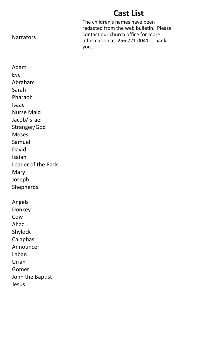### **Cast List**

The children's names have been redacted from the web bulletin. Please contact our church office for more information at 256.721.0041. Thank you.

**Narrators** 

Adam Eve Abraham Sarah Pharaoh Isaac Nurse Maid Jacob/Israel Stranger/God Moses Samuel David Isaiah Leader of the Pack Mary Joseph Shepherds Angels Donkey Cow Ahaz Shylock Caiaphas Announcer Laban Uriah Gomer John the Baptist Jesus